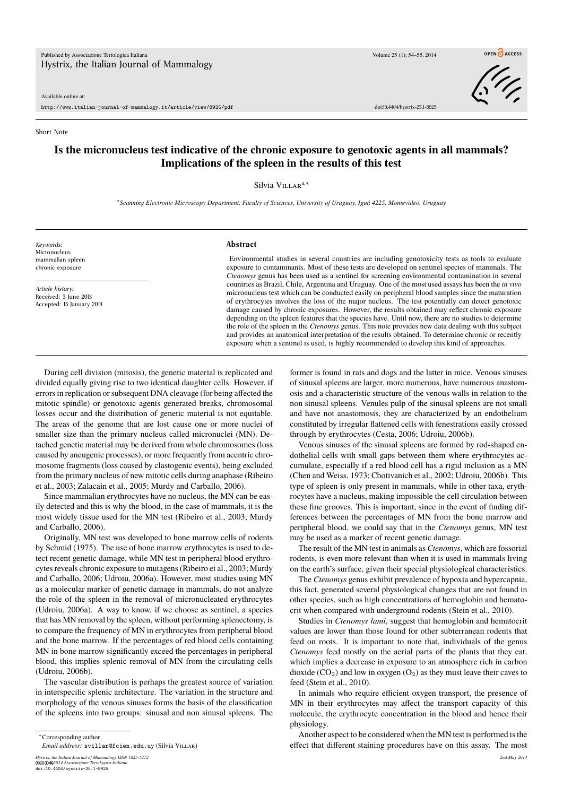Available online at:

http://www.italian-journal-of-mammalogy.it/article/view/8925/pdf doi:10.4404/hystrix-25.1-8925

OPEN CACCESS

## Short Note

## **Is the micronucleus test indicative of the chronic exposure to genotoxic agents in all mammals? Implications of the spleen in the results of this test**

Silvia V<sub>ILLAR</sub><sup>a,\*</sup>

*a Scanning Electronic Microscopy Department, Faculty of Sciences, University of Uruguay, Iguá 4225, Montevideo, Uruguay*

*Keywords:* Micronucleus mammalian spleen chronic exposure

*Article history:* Received: 3 June 2013 Accepted: 15 January 2014

## **Abstract**

Environmental studies in several countries are including genotoxicity tests as tools to evaluate exposure to contaminants. Most of these tests are developed on sentinel species of mammals. The *Ctenomys* genus has been used as a sentinel for screening environmental contamination in several countries as Brazil, Chile, Argentina and Uruguay. One of the most used assays has been the *in vivo* micronucleus test which can be conducted easily on peripheral blood samples since the maturation of erythrocytes involves the loss of the major nucleus. The test potentially can detect genotoxic damage caused by chronic exposures. However, the results obtained may reflect chronic exposure depending on the spleen features that the species have. Until now, there are no studies to determine the role of the spleen in the *Ctenomys* genus. This note provides new data dealing with this subject and provides an anatomical interpretation of the results obtained. To determine chronic or recently exposure when a sentinel is used, is highly recommended to develop this kind of approaches.

During cell division (mitosis), the genetic material is replicated and divided equally giving rise to two identical daughter cells. However, if errors in replication or subsequent DNA cleavage (for being affected the mitotic spindle) or genotoxic agents generated breaks, chromosomal losses occur and the distribution of genetic material is not equitable. The areas of the genome that are lost cause one or more nuclei of smaller size than the primary nucleus called micronuclei (MN). Detached genetic material may be derived from whole chromosomes (loss caused by aneugenic processes), or more frequently from acentric chromosome fragments (loss caused by clastogenic events), being excluded from the primary nucleus of new mitotic cells during anaphase (Ribeiro et al., 2003; Zalacain et al., 2005; Murdy and Carballo, 2006).

Since mammalian erythrocytes have no nucleus, the MN can be easily detected and this is why the blood, in the case of mammals, it is the most widely tissue used for the MN test (Ribeiro et al., 2003; Murdy and Carballo, 2006).

Originally, MN test was developed to bone marrow cells of rodents by Schmid (1975). The use of bone marrow erythrocytes is used to detect recent genetic damage, while MN test in peripheral blood erythrocytes reveals chronic exposure to mutagens (Ribeiro et al., 2003; Murdy and Carballo, 2006; Udroiu, 2006a). However, most studies using MN as a molecular marker of genetic damage in mammals, do not analyze the role of the spleen in the removal of micronucleated erythrocytes (Udroiu, 2006a). A way to know, if we choose as sentinel, a species that has MN removal by the spleen, without performing splenectomy, is to compare the frequency of MN in erythrocytes from peripheral blood and the bone marrow. If the percentages of red blood cells containing MN in bone marrow significantly exceed the percentages in peripheral blood, this implies splenic removal of MN from the circulating cells (Udroiu, 2006b).

The vascular distribution is perhaps the greatest source of variation in interspecific splenic architecture. The variation in the structure and morphology of the venous sinuses forms the basis of the classification of the spleens into two groups: sinusal and non sinusal spleens. The

*Hystrix, the Italian Journal of Mammalogy ISSN 1825-5272 2nd May 2014* ©cbe*2014 Associazione Teriologica Italiana* doi:10.4404/hystrix-25.1-8925

former is found in rats and dogs and the latter in mice. Venous sinuses of sinusal spleens are larger, more numerous, have numerous anastomosis and a characteristic structure of the venous walls in relation to the non sinusal spleens. Venules pulp of the sinusal spleens are not small and have not anastomosis, they are characterized by an endothelium constituted by irregular flattened cells with fenestrations easily crossed through by erythrocytes (Cesta, 2006; Udroiu, 2006b).

Venous sinuses of the sinusal spleens are formed by rod-shaped endothelial cells with small gaps between them where erythrocytes accumulate, especially if a red blood cell has a rigid inclusion as a MN (Chen and Weiss, 1973; Chotivanich et al., 2002; Udroiu, 2006b). This type of spleen is only present in mammals, while in other taxa, erythrocytes have a nucleus, making impossible the cell circulation between these fine grooves. This is important, since in the event of finding differences between the percentages of MN from the bone marrow and peripheral blood, we could say that in the *Ctenomys* genus, MN test may be used as a marker of recent genetic damage.

The result of the MN test in animals as *Ctenomys*, which are fossorial rodents, is even more relevant than when it is used in mammals living on the earth's surface, given their special physiological characteristics.

The *Ctenomys* genus exhibit prevalence of hypoxia and hypercapnia, this fact, generated several physiological changes that are not found in other species, such as high concentrations of hemoglobin and hematocrit when compared with underground rodents (Stein et al., 2010).

Studies in *Ctenomys lami*, suggest that hemoglobin and hematocrit values are lower than those found for other subterranean rodents that feed on roots. It is important to note that, individuals of the genus *Ctenomys* feed mostly on the aerial parts of the plants that they eat, which implies a decrease in exposure to an atmosphere rich in carbon dioxide  $(CO_2)$  and low in oxygen  $(O_2)$  as they must leave their caves to feed (Stein et al., 2010).

In animals who require efficient oxygen transport, the presence of MN in their erythrocytes may affect the transport capacity of this molecule, the erythrocyte concentration in the blood and hence their physiology.

Another aspect to be considered when the MN test is performed is the effect that different staining procedures have on this assay. The most

<sup>∗</sup>Corresponding author

*Email address:* svillar@fcien.edu.uy (Silvia Villar)